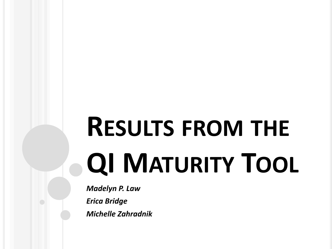# **RESULTS FROM THE QI MATURITY TOOL**

*Madelyn P. Law Erica Bridge Michelle Zahradnik*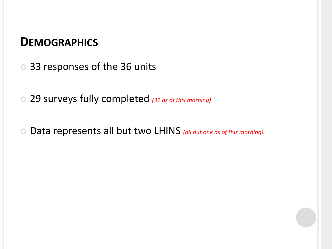#### **DEMOGRAPHICS**

- 33 responses of the 36 units
- 29 surveys fully completed *(31 as of this morning)*
- Data represents all but two LHINS *(all but one as of this morning)*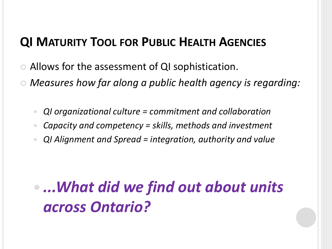## **QI MATURITY TOOL FOR PUBLIC HEALTH AGENCIES**

- Allows for the assessment of QI sophistication.
- *Measures how far along a public health agency is regarding:*
	- *QI organizational culture = commitment and collaboration*
	- *Capacity and competency = skills, methods and investment*
	- *QI Alignment and Spread = integration, authority and value*

# *...What did we find out about units across Ontario?*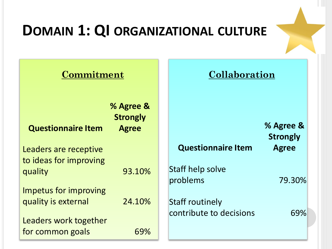# **DOMAIN 1: QI ORGANIZATIONAL CULTURE**

| Commitment                        |                                              | Collaboration                |                              |
|-----------------------------------|----------------------------------------------|------------------------------|------------------------------|
| <b>Questionnaire Item</b>         | % Agree &<br><b>Strongly</b><br><b>Agree</b> |                              | % Agree &<br><b>Strongly</b> |
| Leaders are receptive             |                                              | <b>Questionnaire Item</b>    | <b>Agree</b>                 |
| to ideas for improving<br>quality | 93.10%                                       | Staff help solve<br>problems | 79.30%                       |
| Impetus for improving             |                                              |                              |                              |
| quality is external               | 24.10%                                       | <b>Staff routinely</b>       |                              |
| Leaders work together             |                                              | contribute to decisions      | 69%                          |
| for common goals                  | 69%                                          |                              |                              |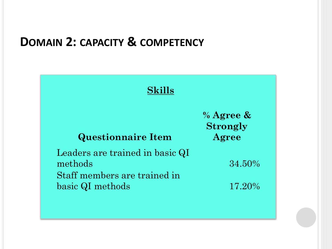#### **DOMAIN 2: CAPACITY & COMPETENCY**

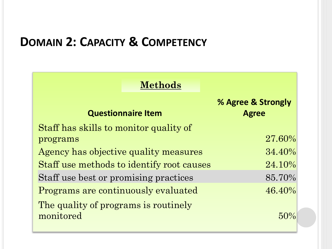# **DOMAIN 2: CAPACITY & COMPETENCY**

| <b>Methods</b>                                    |                                    |
|---------------------------------------------------|------------------------------------|
| <b>Questionnaire Item</b>                         | % Agree & Strongly<br><b>Agree</b> |
| Staff has skills to monitor quality of            |                                    |
| programs                                          | 27.60%                             |
| Agency has objective quality measures             | $34.40\%$                          |
| Staff use methods to identify root causes         | 24.10%                             |
| Staff use best or promising practices             | 85.70%                             |
| Programs are continuously evaluated               | $46.40\%$                          |
| The quality of programs is routinely<br>monitored |                                    |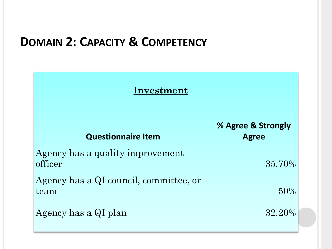## **DOMAIN 2: CAPACITY & COMPETENCY**

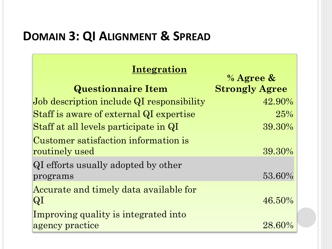# **DOMAIN 3: QI ALIGNMENT & SPREAD**

#### **Integration**

 $\frac{0}{2}$  Agree  $\frac{0}{2}$ 

|                                           | $\sqrt{0}$ Agiee $\alpha$ |
|-------------------------------------------|---------------------------|
| <b>Questionnaire Item</b>                 | <b>Strongly Agree</b>     |
| Job description include QI responsibility | 42.90%                    |
| Staff is aware of external QI expertise   | 25%                       |
| Staff at all levels participate in QI     | 39.30%                    |
| Customer satisfaction information is      |                           |
| routinely used                            | 39.30%                    |
| QI efforts usually adopted by other       |                           |
| programs                                  | 53.60%                    |
| Accurate and timely data available for    |                           |
| $ {\rm QI} $                              | 46.50%                    |
| Improving quality is integrated into      |                           |
| agency practice                           | 28.60%                    |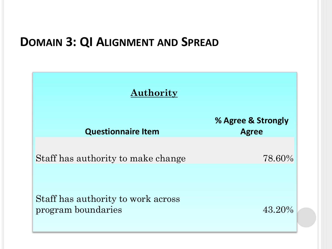#### **DOMAIN 3: QI ALIGNMENT AND SPREAD**

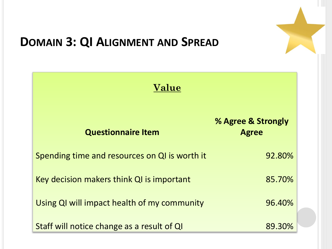

# **DOMAIN 3: QI ALIGNMENT AND SPREAD**

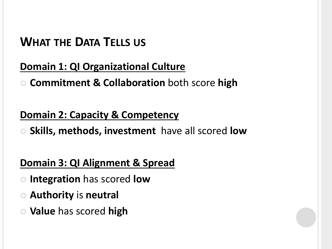## **WHAT THE DATA TELLS US**

#### **Domain 1: QI Organizational Culture**

**Commitment & Collaboration** both score **high**

#### **Domain 2: Capacity & Competency**

**Skills, methods, investment** have all scored **low**

#### **Domain 3: QI Alignment & Spread**

- **Integration** has scored **low**
- **Authority** is **neutral**
- **Value** has scored **high**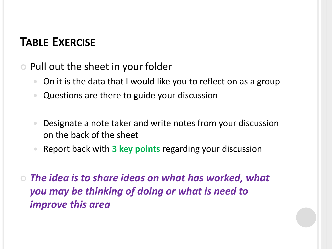## **TABLE EXERCISE**

- **Pull out the sheet in your folder** 
	- On it is the data that I would like you to reflect on as a group
	- Questions are there to guide your discussion
	- Designate a note taker and write notes from your discussion on the back of the sheet
	- Report back with **3 key points** regarding your discussion
- *The idea is to share ideas on what has worked, what you may be thinking of doing or what is need to improve this area*